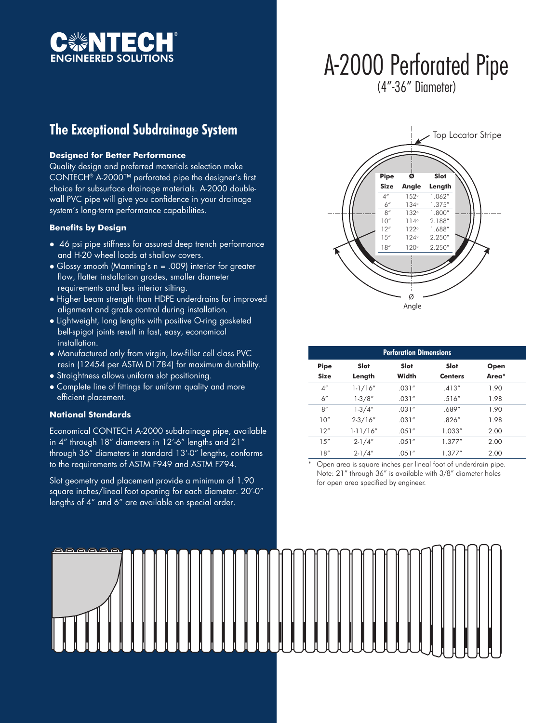

## A-2000 Perforated Pipe (4"-36" Diameter)

### **The Exceptional Subdrainage System**

#### **Designed for Better Performance**

Quality design and preferred materials selection make CONTECH® A-2000™ perforated pipe the designer's first choice for subsurface drainage materials. A-2000 doublewall PVC pipe will give you confidence in your drainage system's long-term performance capabilities.

#### **Benefits by Design**

- 46 psi pipe stiffness for assured deep trench performance and H-20 wheel loads at shallow covers.
- Glossy smooth (Manning's n = .009) interior for greater flow, flatter installation grades, smaller diameter requirements and less interior silting.
- Higher beam strength than HDPE underdrains for improved alignment and grade control during installation.
- Lightweight, long lengths with positive O-ring gasketed bell-spigot joints result in fast, easy, economical installation.
- Manufactured only from virgin, low-filler cell class PVC resin (12454 per ASTM D1784) for maximum durability.
- Straightness allows uniform slot positioning.
- Complete line of fittings for uniform quality and more efficient placement.

#### **National Standards**

Economical CONTECH A-2000 subdrainage pipe, available in 4" through 18" diameters in 12'-6" lengths and 21" through 36" diameters in standard 13'-0" lengths, conforms to the requirements of ASTM F949 and ASTM F794.

Slot geometry and placement provide a minimum of 1.90 square inches/lineal foot opening for each diameter. 20'-0" lengths of 4" and 6" are available on special order.



| <b>Perforation Dimensions</b> |                |        |                |       |
|-------------------------------|----------------|--------|----------------|-------|
| <b>Pipe</b>                   | Slot           | Slot   | Slot           | Open  |
| <b>Size</b>                   | Length         | Width  | <b>Centers</b> | Area* |
| 4 <sup>''</sup>               | $1 - 1/16''$   | .031'' | .413''         | 1.90  |
| 6"                            | $1-3/8"$       | .031'' | .516''         | 1.98  |
| 8''                           | $1-3/4"$       | .031'' | .689"          | 1.90  |
| 10''                          | $2 - 3 / 16''$ | .031'' | .826''         | 1.98  |
| 12"                           | $1 - 11/16''$  | .051'' | 1.033"         | 2.00  |
| 15''                          | $2 - 1/4''$    | .051'' | 1.377''        | 2.00  |
| 18''                          | $2 - 1/4''$    | .051'' | 1.377''        | 2.00  |

\* Open area is square inches per lineal foot of underdrain pipe. Note: 21" through 36" is available with 3/8" diameter holes for open area specified by engineer.